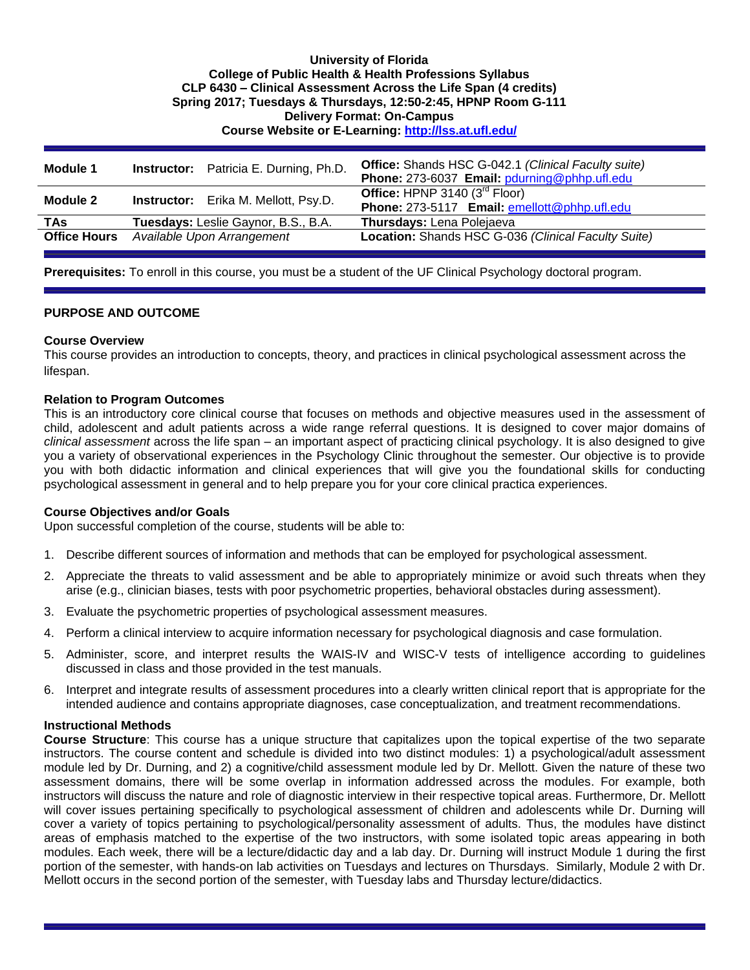## **University of Florida College of Public Health & Health Professions Syllabus CLP 6430 – Clinical Assessment Across the Life Span (4 credits) Spring 2017; Tuesdays & Thursdays, 12:50-2:45, HPNP Room G-111 Delivery Format: On-Campus Course Website or E-Learning:<http://lss.at.ufl.edu/>**

| <b>Module 1</b>     | <b>Instructor:</b> Patricia E. Durning, Ph.D. | <b>Office:</b> Shands HSC G-042.1 (Clinical Faculty suite)<br>Phone: 273-6037 Email: pdurning@phhp.ufl.edu |
|---------------------|-----------------------------------------------|------------------------------------------------------------------------------------------------------------|
| Module 2            | <b>Instructor:</b> Erika M. Mellott, Psy.D.   | Office: HPNP 3140 $(3rd$ Floor)<br>Phone: 273-5117 Email: emellott@phhp.ufl.edu                            |
| <b>TAs</b>          | Tuesdays: Leslie Gaynor, B.S., B.A.           | Thursdays: Lena Polejaeva                                                                                  |
| <b>Office Hours</b> | Available Upon Arrangement                    | Location: Shands HSC G-036 (Clinical Faculty Suite)                                                        |

**Prerequisites:** To enroll in this course, you must be a student of the UF Clinical Psychology doctoral program.

#### **PURPOSE AND OUTCOME**

#### **Course Overview**

This course provides an introduction to concepts, theory, and practices in clinical psychological assessment across the lifespan.

#### **Relation to Program Outcomes**

This is an introductory core clinical course that focuses on methods and objective measures used in the assessment of child, adolescent and adult patients across a wide range referral questions. It is designed to cover major domains of *clinical assessment* across the life span – an important aspect of practicing clinical psychology. It is also designed to give you a variety of observational experiences in the Psychology Clinic throughout the semester. Our objective is to provide you with both didactic information and clinical experiences that will give you the foundational skills for conducting psychological assessment in general and to help prepare you for your core clinical practica experiences.

#### **Course Objectives and/or Goals**

Upon successful completion of the course, students will be able to:

- 1. Describe different sources of information and methods that can be employed for psychological assessment.
- 2. Appreciate the threats to valid assessment and be able to appropriately minimize or avoid such threats when they arise (e.g., clinician biases, tests with poor psychometric properties, behavioral obstacles during assessment).
- 3. Evaluate the psychometric properties of psychological assessment measures.
- 4. Perform a clinical interview to acquire information necessary for psychological diagnosis and case formulation.
- 5. Administer, score, and interpret results the WAIS-IV and WISC-V tests of intelligence according to guidelines discussed in class and those provided in the test manuals.
- 6. Interpret and integrate results of assessment procedures into a clearly written clinical report that is appropriate for the intended audience and contains appropriate diagnoses, case conceptualization, and treatment recommendations.

## **Instructional Methods**

**Course Structure**: This course has a unique structure that capitalizes upon the topical expertise of the two separate instructors. The course content and schedule is divided into two distinct modules: 1) a psychological/adult assessment module led by Dr. Durning, and 2) a cognitive/child assessment module led by Dr. Mellott. Given the nature of these two assessment domains, there will be some overlap in information addressed across the modules. For example, both instructors will discuss the nature and role of diagnostic interview in their respective topical areas. Furthermore, Dr. Mellott will cover issues pertaining specifically to psychological assessment of children and adolescents while Dr. Durning will cover a variety of topics pertaining to psychological/personality assessment of adults. Thus, the modules have distinct areas of emphasis matched to the expertise of the two instructors, with some isolated topic areas appearing in both modules. Each week, there will be a lecture/didactic day and a lab day. Dr. Durning will instruct Module 1 during the first portion of the semester, with hands-on lab activities on Tuesdays and lectures on Thursdays. Similarly, Module 2 with Dr. Mellott occurs in the second portion of the semester, with Tuesday labs and Thursday lecture/didactics.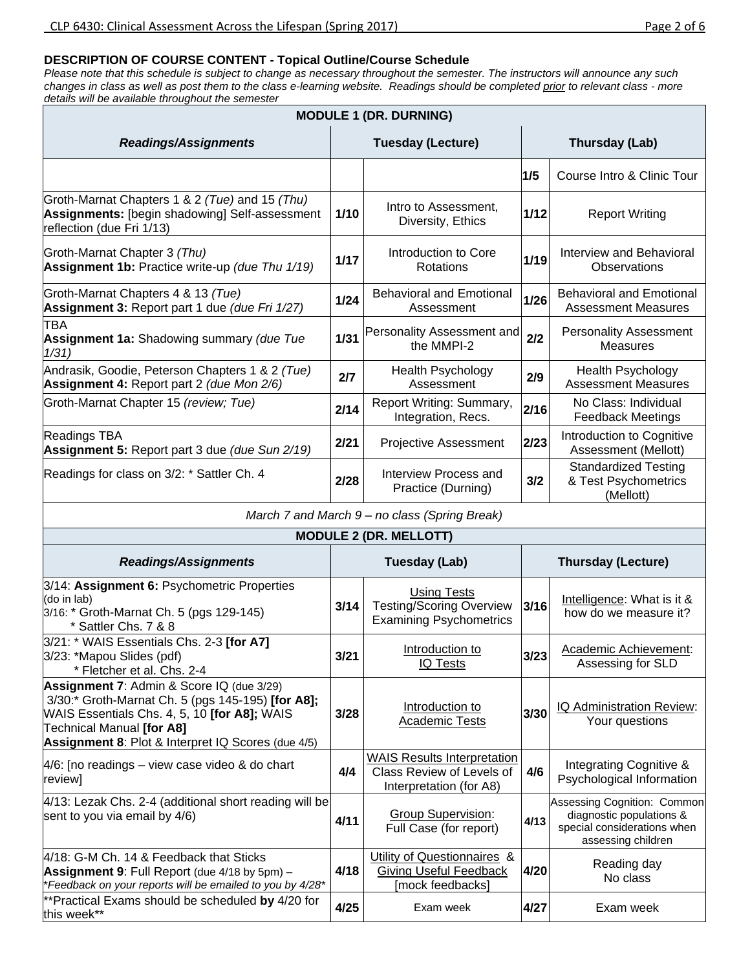## **DESCRIPTION OF COURSE CONTENT - Topical Outline/Course Schedule**

*Please note that this schedule is subject to change as necessary throughout the semester. The instructors will announce any such changes in class as well as post them to the class e-learning website. Readings should be completed prior to relevant class - more details will be available throughout the semester*

| <b>MODULE 1 (DR. DURNING)</b>                                                                                                                                                                                                     |                                                         |                                                                                            |                           |                                                                                                              |  |  |  |  |  |  |  |
|-----------------------------------------------------------------------------------------------------------------------------------------------------------------------------------------------------------------------------------|---------------------------------------------------------|--------------------------------------------------------------------------------------------|---------------------------|--------------------------------------------------------------------------------------------------------------|--|--|--|--|--|--|--|
| <b>Readings/Assignments</b>                                                                                                                                                                                                       |                                                         | <b>Tuesday (Lecture)</b>                                                                   | Thursday (Lab)            |                                                                                                              |  |  |  |  |  |  |  |
|                                                                                                                                                                                                                                   |                                                         |                                                                                            | 1/5                       | Course Intro & Clinic Tour                                                                                   |  |  |  |  |  |  |  |
| Groth-Marnat Chapters 1 & 2 (Tue) and 15 (Thu)<br>Assignments: [begin shadowing] Self-assessment<br>reflection (due Fri 1/13)                                                                                                     | 1/10                                                    | Intro to Assessment,<br>Diversity, Ethics                                                  | 1/12                      | <b>Report Writing</b>                                                                                        |  |  |  |  |  |  |  |
| Groth-Marnat Chapter 3 (Thu)<br>Assignment 1b: Practice write-up (due Thu 1/19)                                                                                                                                                   | 1/17                                                    | Introduction to Core<br>Rotations                                                          | 1/19                      | Interview and Behavioral<br>Observations                                                                     |  |  |  |  |  |  |  |
| Groth-Marnat Chapters 4 & 13 (Tue)<br>Assignment 3: Report part 1 due (due Fri 1/27)                                                                                                                                              | <b>Behavioral and Emotional</b><br>$1/24$<br>Assessment |                                                                                            | 1/26                      | <b>Behavioral and Emotional</b><br><b>Assessment Measures</b>                                                |  |  |  |  |  |  |  |
| TBA<br><b>Assignment 1a:</b> Shadowing summary (due Tue<br>1/31)                                                                                                                                                                  | $1/31$                                                  | Personality Assessment and<br>the MMPI-2                                                   | 2/2                       | <b>Personality Assessment</b><br><b>Measures</b>                                                             |  |  |  |  |  |  |  |
| Andrasik, Goodie, Peterson Chapters 1 & 2 (Tue)<br>Assignment 4: Report part 2 (due Mon 2/6)                                                                                                                                      | 2/7                                                     | Health Psychology<br>Assessment                                                            | 2/9                       | Health Psychology<br><b>Assessment Measures</b>                                                              |  |  |  |  |  |  |  |
| Groth-Marnat Chapter 15 (review; Tue)                                                                                                                                                                                             | 2/14                                                    | Report Writing: Summary,<br>Integration, Recs.                                             | 2/16                      | No Class: Individual<br><b>Feedback Meetings</b>                                                             |  |  |  |  |  |  |  |
| <b>Readings TBA</b><br>Assignment 5: Report part 3 due (due Sun 2/19)                                                                                                                                                             | 2/21                                                    | Projective Assessment                                                                      | 2/23                      | Introduction to Cognitive<br>Assessment (Mellott)                                                            |  |  |  |  |  |  |  |
| Readings for class on 3/2: * Sattler Ch. 4                                                                                                                                                                                        | 2/28                                                    | Interview Process and<br>Practice (Durning)                                                | 3/2                       | <b>Standardized Testing</b><br>& Test Psychometrics<br>(Mellott)                                             |  |  |  |  |  |  |  |
|                                                                                                                                                                                                                                   |                                                         | March 7 and March 9 - no class (Spring Break)                                              |                           |                                                                                                              |  |  |  |  |  |  |  |
|                                                                                                                                                                                                                                   |                                                         | <b>MODULE 2 (DR. MELLOTT)</b>                                                              |                           |                                                                                                              |  |  |  |  |  |  |  |
| <b>Readings/Assignments</b>                                                                                                                                                                                                       |                                                         | <b>Tuesday (Lab)</b>                                                                       | <b>Thursday (Lecture)</b> |                                                                                                              |  |  |  |  |  |  |  |
| 3/14: Assignment 6: Psychometric Properties<br>(do in lab)<br>3/16: * Groth-Marnat Ch. 5 (pgs 129-145)<br>* Sattler Chs. 7 & 8                                                                                                    | 3/14                                                    | <b>Using Tests</b><br><b>Testing/Scoring Overview</b><br><b>Examining Psychometrics</b>    | $3/16$                    | Intelligence: What is it &<br>how do we measure it?                                                          |  |  |  |  |  |  |  |
| 3/21: * WAIS Essentials Chs. 2-3 [for A7]<br>3/23: *Mapou Slides (pdf)<br>* Fletcher et al. Chs. 2-4                                                                                                                              | 3/21                                                    | Introduction to<br><b>IQ Tests</b>                                                         | 3/23                      | Academic Achievement:<br>Assessing for SLD                                                                   |  |  |  |  |  |  |  |
| Assignment 7: Admin & Score IQ (due 3/29)<br>3/30:* Groth-Marnat Ch. 5 (pgs 145-195) [for A8];<br>WAIS Essentials Chs. 4, 5, 10 [for A8]; WAIS<br>Technical Manual [for A8]<br>Assignment 8: Plot & Interpret IQ Scores (due 4/5) | 3/28                                                    | Introduction to<br><b>Academic Tests</b>                                                   | 3/30                      | IQ Administration Review:<br>Your questions                                                                  |  |  |  |  |  |  |  |
| $4/6$ : [no readings – view case video & do chart<br>review]                                                                                                                                                                      | 4/4                                                     | <b>WAIS Results Interpretation</b><br>Class Review of Levels of<br>Interpretation (for A8) | 4/6                       | Integrating Cognitive &<br>Psychological Information                                                         |  |  |  |  |  |  |  |
| 4/13: Lezak Chs. 2-4 (additional short reading will be<br>sent to you via email by 4/6)                                                                                                                                           | 4/11                                                    | <b>Group Supervision:</b><br>Full Case (for report)                                        | 4/13                      | Assessing Cognition: Common<br>diagnostic populations &<br>special considerations when<br>assessing children |  |  |  |  |  |  |  |
| 4/18: G-M Ch. 14 & Feedback that Sticks<br><b>Assignment 9: Full Report (due 4/18 by 5pm) -</b><br>*Feedback on your reports will be emailed to you by 4/28*                                                                      | 4/18                                                    | Utility of Questionnaires &<br><b>Giving Useful Feedback</b><br>[mock feedbacks]           | 4/20                      | Reading day<br>No class                                                                                      |  |  |  |  |  |  |  |

\*\*Practical Exams should be scheduled **by** 4/20 for this week\*\* **4/25** Exam week **4/27** Exam week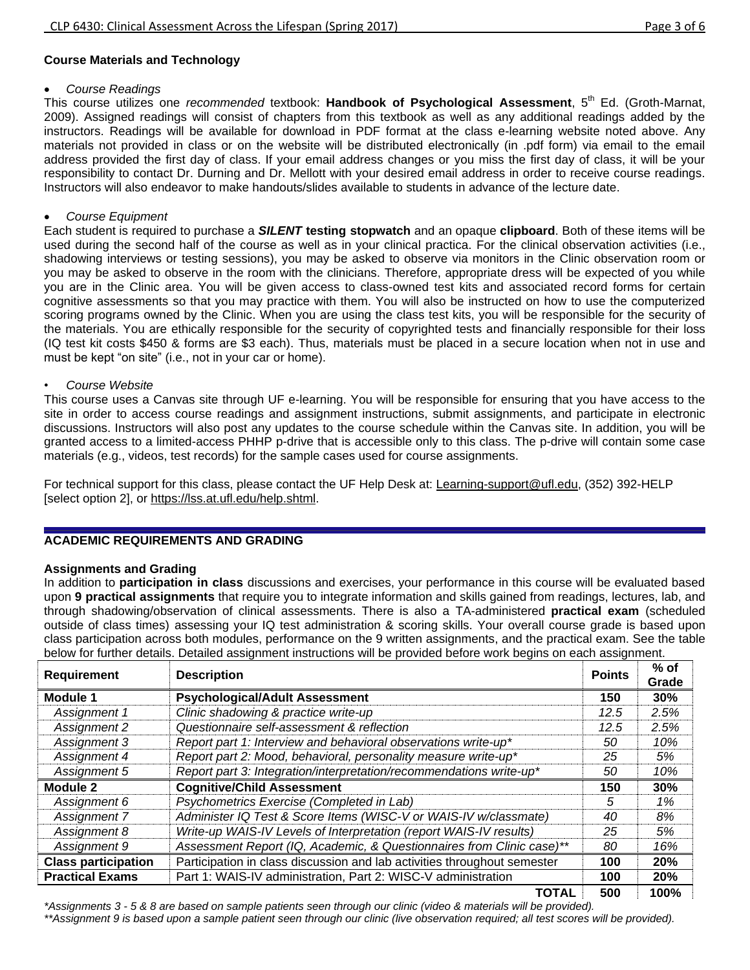# **Course Materials and Technology**

## *Course Readings*

This course utilizes one *recommended* textbook: **Handbook of Psychological Assessment**, 5th Ed. (Groth-Marnat, 2009). Assigned readings will consist of chapters from this textbook as well as any additional readings added by the instructors. Readings will be available for download in PDF format at the class e-learning website noted above. Any materials not provided in class or on the website will be distributed electronically (in .pdf form) via email to the email address provided the first day of class. If your email address changes or you miss the first day of class, it will be your responsibility to contact Dr. Durning and Dr. Mellott with your desired email address in order to receive course readings. Instructors will also endeavor to make handouts/slides available to students in advance of the lecture date.

## *Course Equipment*

Each student is required to purchase a *SILENT* **testing stopwatch** and an opaque **clipboard**. Both of these items will be used during the second half of the course as well as in your clinical practica. For the clinical observation activities (i.e., shadowing interviews or testing sessions), you may be asked to observe via monitors in the Clinic observation room or you may be asked to observe in the room with the clinicians. Therefore, appropriate dress will be expected of you while you are in the Clinic area. You will be given access to class-owned test kits and associated record forms for certain cognitive assessments so that you may practice with them. You will also be instructed on how to use the computerized scoring programs owned by the Clinic. When you are using the class test kits, you will be responsible for the security of the materials. You are ethically responsible for the security of copyrighted tests and financially responsible for their loss (IQ test kit costs \$450 & forms are \$3 each). Thus, materials must be placed in a secure location when not in use and must be kept "on site" (i.e., not in your car or home).

## • *Course Website*

This course uses a Canvas site through UF e-learning. You will be responsible for ensuring that you have access to the site in order to access course readings and assignment instructions, submit assignments, and participate in electronic discussions. Instructors will also post any updates to the course schedule within the Canvas site. In addition, you will be granted access to a limited-access PHHP p-drive that is accessible only to this class. The p-drive will contain some case materials (e.g., videos, test records) for the sample cases used for course assignments.

For technical support for this class, please contact the UF Help Desk at: [Learning-support@ufl.edu,](file:///C:/Users/hackg/Desktop/Learning-support@ufl.edu) (352) 392-HELP [select option 2], or [https://lss.at.ufl.edu/help.shtml.](https://lss.at.ufl.edu/help.shtml)

# **ACADEMIC REQUIREMENTS AND GRADING**

## **Assignments and Grading**

In addition to **participation in class** discussions and exercises, your performance in this course will be evaluated based upon **9 practical assignments** that require you to integrate information and skills gained from readings, lectures, lab, and through shadowing/observation of clinical assessments. There is also a TA-administered **practical exam** (scheduled outside of class times) assessing your IQ test administration & scoring skills. Your overall course grade is based upon class participation across both modules, performance on the 9 written assignments, and the practical exam. See the table below for further details. Detailed assignment instructions will be provided before work begins on each assignment.

| <b>Requirement</b>                                | <b>Points</b>                                                            | $%$ of<br>Grade |            |
|---------------------------------------------------|--------------------------------------------------------------------------|-----------------|------------|
| <b>Psychological/Adult Assessment</b><br>Module 1 |                                                                          | 150             | 30%        |
| Assignment 1                                      | Clinic shadowing & practice write-up                                     | 12.5            | 2.5%       |
| Assignment 2                                      | Questionnaire self-assessment & reflection                               | 12.5            | 2.5%       |
| Assignment 3                                      | Report part 1: Interview and behavioral observations write-up*           | 50              | 10%        |
| Assignment 4                                      | Report part 2: Mood, behavioral, personality measure write-up*           | 25              | 5%         |
| Assignment 5                                      | Report part 3: Integration/interpretation/recommendations write-up*      | 50              | 10%        |
| Module 2                                          | <b>Cognitive/Child Assessment</b>                                        | 150             | 30%        |
| Assignment 6                                      | Psychometrics Exercise (Completed in Lab)                                | 5               | 1%         |
| Assignment 7                                      | Administer IQ Test & Score Items (WISC-V or WAIS-IV w/classmate)         | 40              | 8%         |
| Assignment 8                                      | Write-up WAIS-IV Levels of Interpretation (report WAIS-IV results)       | 25              | 5%         |
| Assignment 9                                      | Assessment Report (IQ, Academic, & Questionnaires from Clinic case)**    | 80              | 16%        |
| <b>Class participation</b>                        | Participation in class discussion and lab activities throughout semester | 100             | 20%        |
| <b>Practical Exams</b>                            | Part 1: WAIS-IV administration, Part 2: WISC-V administration            | 100             | <b>20%</b> |
|                                                   | TOTAL                                                                    | 500             | 100%       |

*\*Assignments 3 - 5 & 8 are based on sample patients seen through our clinic (video & materials will be provided).* 

*\*\*Assignment 9 is based upon a sample patient seen through our clinic (live observation required; all test scores will be provided).*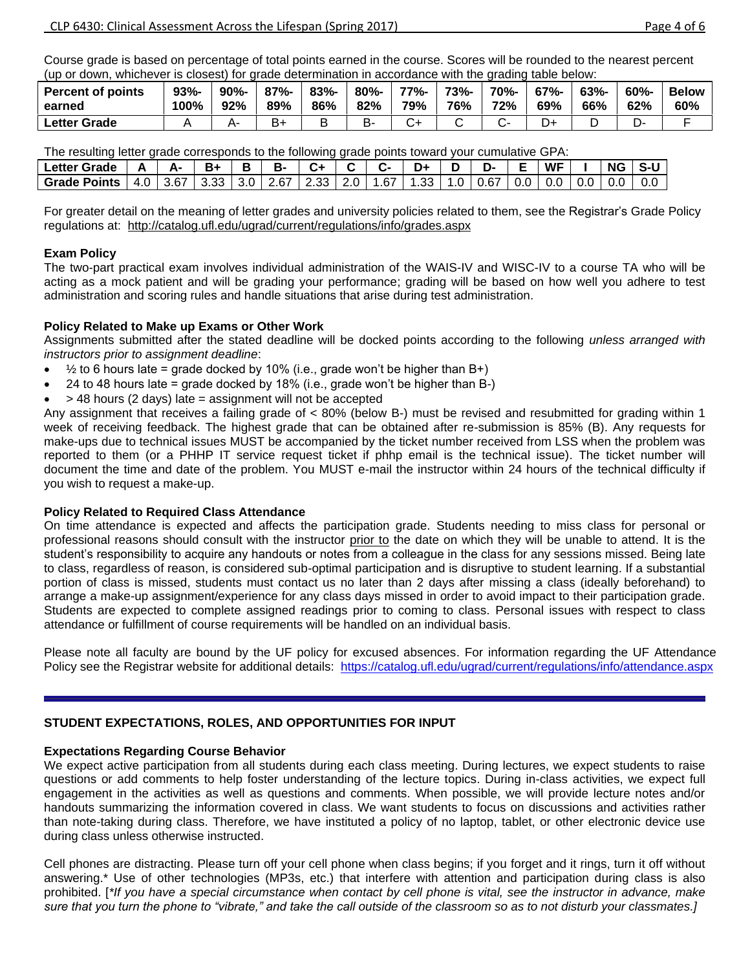Course grade is based on percentage of total points earned in the course. Scores will be rounded to the nearest percent (up or down, whichever is closest) for grade determination in accordance with the grading table below:

| <b>Percent of points</b> | 93%  | 90% | $87% -$  | $83% -$ | $80% -$ | 77%- | 73%- | 70%- | $67% -$ | 63% | $60% -$ | <b>Below</b> |
|--------------------------|------|-----|----------|---------|---------|------|------|------|---------|-----|---------|--------------|
| earned                   | 100% | 92% | 89%      | 86%     | 82%     | 79%  | 76%  | 72%  | 69%     | 66% | 62%     | 60%          |
| Letter Grade             |      | д.  | ь.<br>⊳+ |         | В-      |      |      |      |         |     | – ب     |              |

The resulting letter grade corresponds to the following grade points toward your cumulative GPA:

| The recenting following take corresponds to the following grade points toward your curriculum of the                |  |  |  |  |  |  |  |  |
|---------------------------------------------------------------------------------------------------------------------|--|--|--|--|--|--|--|--|
|                                                                                                                     |  |  |  |  |  |  |  |  |
| Grade Points   4.0   3.67   3.33   3.0   2.67   2.33   2.0   1.67   1.33   1.0   0.67   0.0   0.0   0.0   0.0   0.0 |  |  |  |  |  |  |  |  |
|                                                                                                                     |  |  |  |  |  |  |  |  |

For greater detail on the meaning of letter grades and university policies related to them, see the Registrar's Grade Policy regulations at: <http://catalog.ufl.edu/ugrad/current/regulations/info/grades.aspx>

## **Exam Policy**

The two-part practical exam involves individual administration of the WAIS-IV and WISC-IV to a course TA who will be acting as a mock patient and will be grading your performance; grading will be based on how well you adhere to test administration and scoring rules and handle situations that arise during test administration.

## **Policy Related to Make up Exams or Other Work**

Assignments submitted after the stated deadline will be docked points according to the following *unless arranged with instructors prior to assignment deadline*:

- $\bullet$   $\frac{1}{2}$  to 6 hours late = grade docked by 10% (i.e., grade won't be higher than B+)
- 24 to 48 hours late = grade docked by 18% (i.e., grade won't be higher than B-)
- > 48 hours (2 days) late = assignment will not be accepted

Any assignment that receives a failing grade of < 80% (below B-) must be revised and resubmitted for grading within 1 week of receiving feedback. The highest grade that can be obtained after re-submission is 85% (B). Any requests for make-ups due to technical issues MUST be accompanied by the ticket number received from LSS when the problem was reported to them (or a PHHP IT service request ticket if phhp email is the technical issue). The ticket number will document the time and date of the problem. You MUST e-mail the instructor within 24 hours of the technical difficulty if you wish to request a make-up.

## **Policy Related to Required Class Attendance**

On time attendance is expected and affects the participation grade. Students needing to miss class for personal or professional reasons should consult with the instructor prior to the date on which they will be unable to attend. It is the student's responsibility to acquire any handouts or notes from a colleague in the class for any sessions missed. Being late to class, regardless of reason, is considered sub-optimal participation and is disruptive to student learning. If a substantial portion of class is missed, students must contact us no later than 2 days after missing a class (ideally beforehand) to arrange a make-up assignment/experience for any class days missed in order to avoid impact to their participation grade. Students are expected to complete assigned readings prior to coming to class. Personal issues with respect to class attendance or fulfillment of course requirements will be handled on an individual basis.

Please note all faculty are bound by the UF policy for excused absences. For information regarding the UF Attendance Policy see the Registrar website for additional details: <https://catalog.ufl.edu/ugrad/current/regulations/info/attendance.aspx>

# **STUDENT EXPECTATIONS, ROLES, AND OPPORTUNITIES FOR INPUT**

## **Expectations Regarding Course Behavior**

We expect active participation from all students during each class meeting. During lectures, we expect students to raise questions or add comments to help foster understanding of the lecture topics. During in-class activities, we expect full engagement in the activities as well as questions and comments. When possible, we will provide lecture notes and/or handouts summarizing the information covered in class. We want students to focus on discussions and activities rather than note-taking during class. Therefore, we have instituted a policy of no laptop, tablet, or other electronic device use during class unless otherwise instructed.

Cell phones are distracting. Please turn off your cell phone when class begins; if you forget and it rings, turn it off without answering.\* Use of other technologies (MP3s, etc.) that interfere with attention and participation during class is also prohibited. [*\*If you have a special circumstance when contact by cell phone is vital, see the instructor in advance, make sure that you turn the phone to "vibrate," and take the call outside of the classroom so as to not disturb your classmates.]*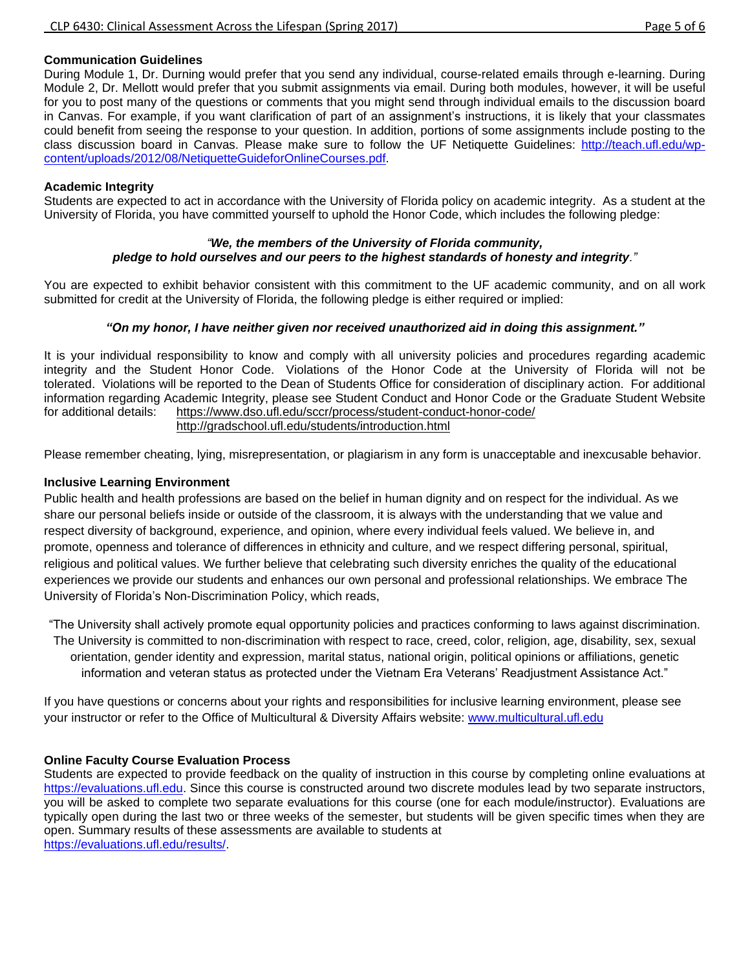# **Communication Guidelines**

During Module 1, Dr. Durning would prefer that you send any individual, course-related emails through e-learning. During Module 2, Dr. Mellott would prefer that you submit assignments via email. During both modules, however, it will be useful for you to post many of the questions or comments that you might send through individual emails to the discussion board in Canvas. For example, if you want clarification of part of an assignment's instructions, it is likely that your classmates could benefit from seeing the response to your question. In addition, portions of some assignments include posting to the class discussion board in Canvas. Please make sure to follow the UF Netiquette Guidelines: [http://teach.ufl.edu/wp](http://teach.ufl.edu/wp-content/uploads/2012/08/NetiquetteGuideforOnlineCourses.pdf)[content/uploads/2012/08/NetiquetteGuideforOnlineCourses.pdf.](http://teach.ufl.edu/wp-content/uploads/2012/08/NetiquetteGuideforOnlineCourses.pdf)

## **Academic Integrity**

Students are expected to act in accordance with the University of Florida policy on academic integrity. As a student at the University of Florida, you have committed yourself to uphold the Honor Code, which includes the following pledge:

## *"We, the members of the University of Florida community, pledge to hold ourselves and our peers to the highest standards of honesty and integrity."*

You are expected to exhibit behavior consistent with this commitment to the UF academic community, and on all work submitted for credit at the University of Florida, the following pledge is either required or implied:

## *"On my honor, I have neither given nor received unauthorized aid in doing this assignment."*

It is your individual responsibility to know and comply with all university policies and procedures regarding academic integrity and the Student Honor Code. Violations of the Honor Code at the University of Florida will not be tolerated. Violations will be reported to the Dean of Students Office for consideration of disciplinary action. For additional information regarding Academic Integrity, please see Student Conduct and Honor Code or the Graduate Student Website for additional details: <https://www.dso.ufl.edu/sccr/process/student-conduct-honor-code/> <http://gradschool.ufl.edu/students/introduction.html>

Please remember cheating, lying, misrepresentation, or plagiarism in any form is unacceptable and inexcusable behavior.

## **Inclusive Learning Environment**

Public health and health professions are based on the belief in human dignity and on respect for the individual. As we share our personal beliefs inside or outside of the classroom, it is always with the understanding that we value and respect diversity of background, experience, and opinion, where every individual feels valued. We believe in, and promote, openness and tolerance of differences in ethnicity and culture, and we respect differing personal, spiritual, religious and political values. We further believe that celebrating such diversity enriches the quality of the educational experiences we provide our students and enhances our own personal and professional relationships. We embrace The University of Florida's Non-Discrimination Policy, which reads,

"The University shall actively promote equal opportunity policies and practices conforming to laws against discrimination. The University is committed to non-discrimination with respect to race, creed, color, religion, age, disability, sex, sexual orientation, gender identity and expression, marital status, national origin, political opinions or affiliations, genetic information and veteran status as protected under the Vietnam Era Veterans' Readjustment Assistance Act."

If you have questions or concerns about your rights and responsibilities for inclusive learning environment, please see your instructor or refer to the Office of Multicultural & Diversity Affairs website: [www.multicultural.ufl.edu](http://www.multicultural.ufl.edu/)

## **Online Faculty Course Evaluation Process**

Students are expected to provide feedback on the quality of instruction in this course by completing online evaluations at [https://evaluations.ufl.edu.](https://evaluations.ufl.edu/) Since this course is constructed around two discrete modules lead by two separate instructors, you will be asked to complete two separate evaluations for this course (one for each module/instructor). Evaluations are typically open during the last two or three weeks of the semester, but students will be given specific times when they are open. Summary results of these assessments are available to students at [https://evaluations.ufl.edu/results/.](https://evaluations.ufl.edu/results/)